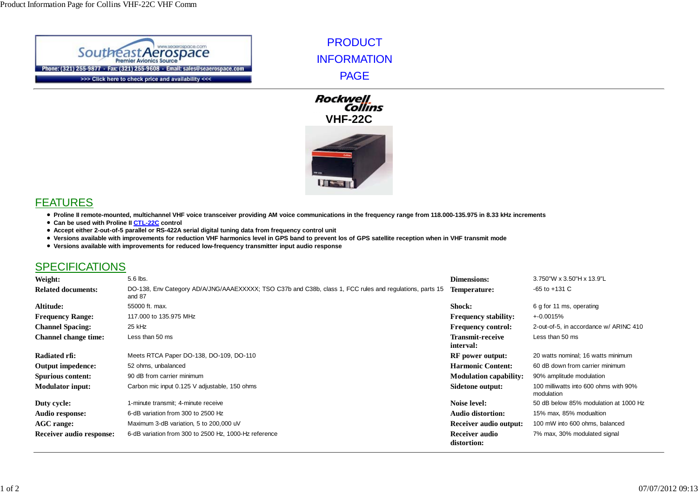

PRODUCT INFORMATION PAGE





## FEATURES

- **Proline II remote-mounted, multichannel VHF voice transceiver providing AM voice communications in the frequency range from 118.000-135.975 in 8.33 kHz increments**
- **Can be used with Proline II CTL-22C control**
- **Accept either 2-out-of-5 parallel or RS-422A serial digital tuning data from frequency control unit**
- **Versions available with improvements for reduction VHF harmonics level in GPS band to prevent los of GPS satellite reception when in VHF transmit mode**
- **Versions available with improvements for reduced low-frequency transmitter input audio response**

## SPECIFICATIONS

| Weight:                         | 5.6 lbs.                                                                                                           | <b>Dimensions:</b>                   | 3.750"W x 3.50"H x 13.9"L                           |
|---------------------------------|--------------------------------------------------------------------------------------------------------------------|--------------------------------------|-----------------------------------------------------|
| <b>Related documents:</b>       | DO-138, Env Category AD/A/JNG/AAAEXXXXX; TSO C37b and C38b, class 1, FCC rules and regulations, parts 15<br>and 87 | Temperature:                         | $-65$ to $+131$ C                                   |
| Altitude:                       | 55000 ft. max.                                                                                                     | <b>Shock:</b>                        | 6 g for 11 ms, operating                            |
| <b>Frequency Range:</b>         | 117,000 to 135,975 MHz                                                                                             | <b>Frequency stability:</b>          | +-0.0015%                                           |
| <b>Channel Spacing:</b>         | 25 kHz                                                                                                             | <b>Frequency control:</b>            | 2-out-of-5, in accordance w/ ARINC 410              |
| <b>Channel change time:</b>     | Less than 50 ms                                                                                                    | <b>Transmit-receive</b><br>interval: | Less than 50 ms                                     |
| Radiated rfi:                   | Meets RTCA Paper DO-138, DO-109, DO-110                                                                            | <b>RF</b> power output:              | 20 watts nominal; 16 watts minimum                  |
| <b>Output impedence:</b>        | 52 ohms, unbalanced                                                                                                | <b>Harmonic Content:</b>             | 60 dB down from carrier minimum                     |
| <b>Spurious content:</b>        | 90 dB from carrier minimum                                                                                         | <b>Modulation capability:</b>        | 90% amplitude modulation                            |
| <b>Modulator input:</b>         | Carbon mic input 0.125 V adjustable, 150 ohms                                                                      | Sidetone output:                     | 100 milliwatts into 600 ohms with 90%<br>modulation |
| Duty cycle:                     | 1-minute transmit; 4-minute receive                                                                                | <b>Noise level:</b>                  | 50 dB below 85% modulation at 1000 Hz               |
| Audio response:                 | 6-dB variation from 300 to 2500 Hz                                                                                 | <b>Audio distortion:</b>             | 15% max, 85% modualtion                             |
| <b>AGC</b> range:               | Maximum 3-dB variation, 5 to 200,000 uV                                                                            | Receiver audio output:               | 100 mW into 600 ohms, balanced                      |
| <b>Receiver audio response:</b> | 6-dB variation from 300 to 2500 Hz, 1000-Hz reference                                                              | Receiver audio<br>distortion:        | 7% max, 30% modulated signal                        |